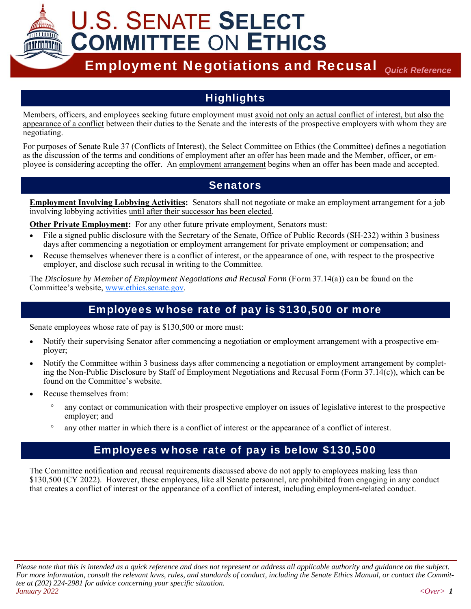

# **Highlights**

Members, officers, and employees seeking future employment must avoid not only an actual conflict of interest, but also the appearance of a conflict between their duties to the Senate and the interests of the prospective employers with whom they are negotiating.

For purposes of Senate Rule 37 (Conflicts of Interest), the Select Committee on Ethics (the Committee) defines a negotiation as the discussion of the terms and conditions of employment after an offer has been made and the Member, officer, or employee is considering accepting the offer. An employment arrangement begins when an offer has been made and accepted.

# **Senators**

**Employment Involving Lobbying Activities:** Senators shall not negotiate or make an employment arrangement for a job involving lobbying activities until after their successor has been elected.

**Other Private Employment:** For any other future private employment, Senators must:

- File a signed public disclosure with the Secretary of the Senate, Office of Public Records (SH-232) within 3 business days after commencing a negotiation or employment arrangement for private employment or compensation; and
- Recuse themselves whenever there is a conflict of interest, or the appearance of one, with respect to the prospective employer, and disclose such recusal in writing to the Committee.

The *Disclosure by Member of Employment Negotiations and Recusal Form* (Form 37.14(a)) can be found on the Committee's website, www.ethics.senate.gov.

# Employees whose rate of pay is \$130,500 or more

Senate employees whose rate of pay is \$130,500 or more must:

- Notify their supervising Senator after commencing a negotiation or employment arrangement with a prospective employer;
- Notify the Committee within 3 business days after commencing a negotiation or employment arrangement by completing the Non-Public Disclosure by Staff of Employment Negotiations and Recusal Form (Form 37.14(c)), which can be found on the Committee's website.
- Recuse themselves from:
	- any contact or communication with their prospective employer on issues of legislative interest to the prospective employer; and
	- any other matter in which there is a conflict of interest or the appearance of a conflict of interest.

# Employees whose rate of pay is below \$130,500

The Committee notification and recusal requirements discussed above do not apply to employees making less than \$130,500 (CY 2022). However, these employees, like all Senate personnel, are prohibited from engaging in any conduct that creates a conflict of interest or the appearance of a conflict of interest, including employment-related conduct.

*Please note that this is intended as a quick reference and does not represent or address all applicable authority and guidance on the subject. For more information, consult the relevant laws, rules, and standards of conduct, including the Senate Ethics Manual, or contact the Committee at (202) 224-2981 for advice concerning your specific situation. January 2022 <Over> 1*